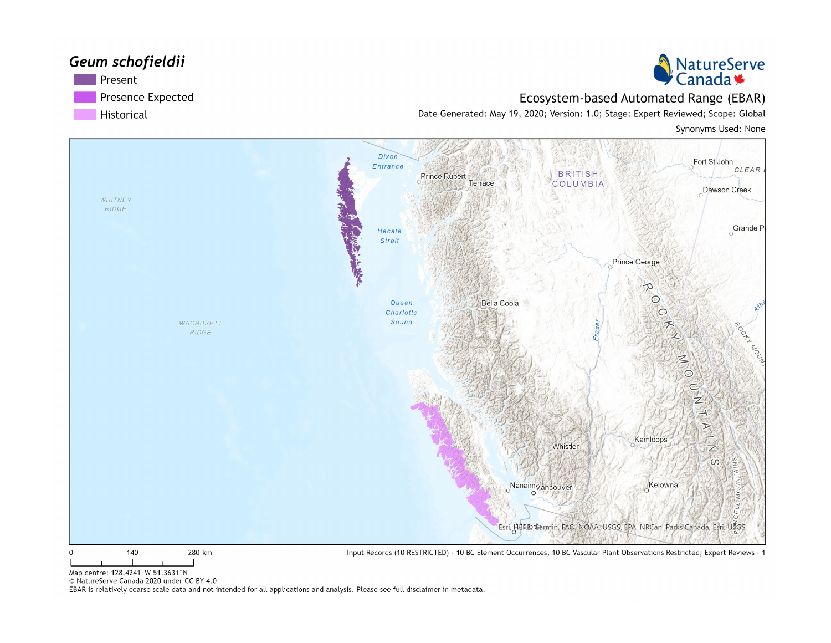#### Geum schofieldii Present Presence Expected

Historical



Ecosystem-based Automated Range (EBAR)

Date Generated: May 19, 2020; Version: 1.0; Stage: Expert Reviewed; Scope: Global

Synonyms Used: None



Map centre: 128.4241°W 51.3631°N

© NatureServe Canada 2020 under CC BY 4.0

EBAR is relatively coarse scale data and not intended for all applications and analysis. Please see full disclaimer in metadata.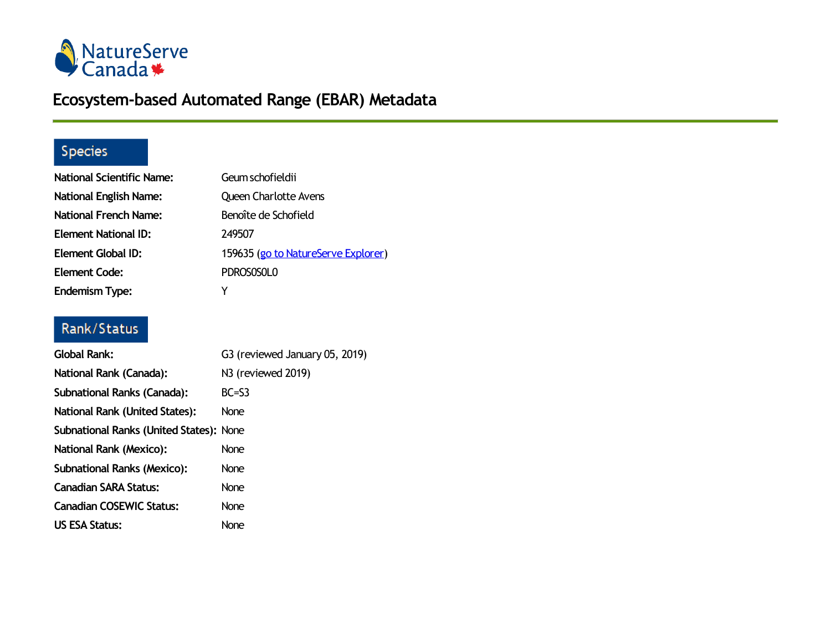

# **Ecosystem-based Automated Range (EBAR) Metadata**

# Species

| <b>National Scientific Name:</b> | Geum schofieldii                    |
|----------------------------------|-------------------------------------|
| <b>National English Name:</b>    | <b>Queen Charlotte Avens</b>        |
| <b>National French Name:</b>     | Benoîte de Schofield                |
| Element National ID:             | 249507                              |
| <b>Element Global ID:</b>        | 159635 (go to NatureServe Explorer) |
| <b>Element Code:</b>             | PDROSOSOLO                          |
| <b>Endemism Type:</b>            | Y                                   |

### Rank/Status

| <b>Global Rank:</b>                            | G3 (reviewed January 05, 2019) |
|------------------------------------------------|--------------------------------|
| National Rank (Canada):                        | N3 (reviewed 2019)             |
| <b>Subnational Ranks (Canada):</b>             | $BC = S3$                      |
| <b>National Rank (United States):</b>          | <b>None</b>                    |
| <b>Subnational Ranks (United States): None</b> |                                |
| National Rank (Mexico):                        | <b>None</b>                    |
| <b>Subnational Ranks (Mexico):</b>             | <b>None</b>                    |
| Canadian SARA Status:                          | <b>None</b>                    |
| <b>Canadian COSEWIC Status:</b>                | <b>None</b>                    |
| US ESA Status:                                 | <b>None</b>                    |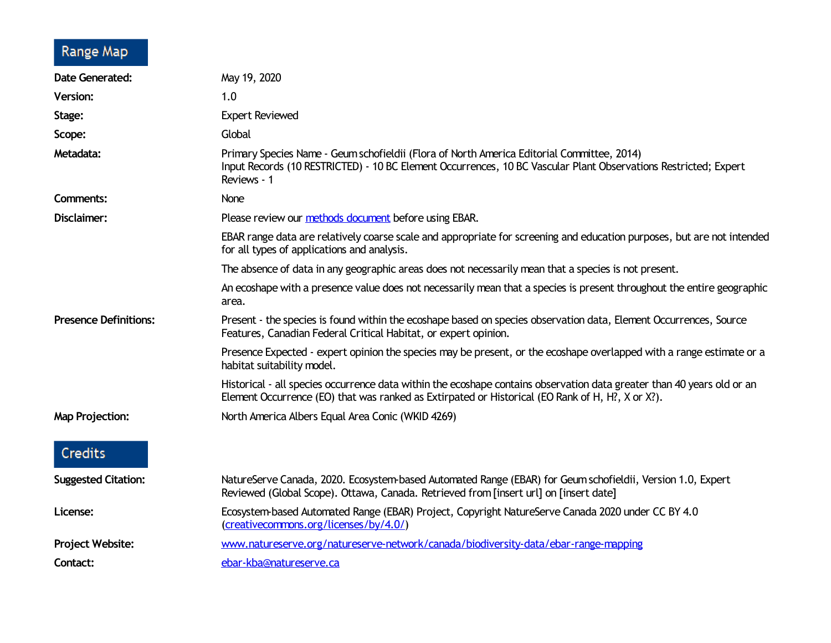# Range Map

| <b>Date Generated:</b>       | May 19, 2020                                                                                                                                                                                                                 |
|------------------------------|------------------------------------------------------------------------------------------------------------------------------------------------------------------------------------------------------------------------------|
| <b>Version:</b>              | 1.0                                                                                                                                                                                                                          |
| Stage:                       | <b>Expert Reviewed</b>                                                                                                                                                                                                       |
| Scope:                       | Global                                                                                                                                                                                                                       |
| Metadata:                    | Primary Species Name - Geum schofieldii (Flora of North America Editorial Committee, 2014)<br>Input Records (10 RESTRICTED) - 10 BC Element Occurrences, 10 BC Vascular Plant Observations Restricted; Expert<br>Reviews - 1 |
| <b>Comments:</b>             | None                                                                                                                                                                                                                         |
| Disclaimer:                  | Please review our methods document before using EBAR.                                                                                                                                                                        |
|                              | EBAR range data are relatively coarse scale and appropriate for screening and education purposes, but are not intended<br>for all types of applications and analysis.                                                        |
|                              | The absence of data in any geographic areas does not necessarily mean that a species is not present.                                                                                                                         |
|                              | An ecoshape with a presence value does not necessarily mean that a species is present throughout the entire geographic<br>area.                                                                                              |
| <b>Presence Definitions:</b> | Present - the species is found within the ecoshape based on species observation data, Element Occurrences, Source<br>Features, Canadian Federal Critical Habitat, or expert opinion.                                         |
|                              | Presence Expected - expert opinion the species may be present, or the ecoshape overlapped with a range estimate or a<br>habitat suitability model.                                                                           |
|                              | Historical - all species occurrence data within the ecoshape contains observation data greater than 40 years old or an<br>Element Occurrence (EO) that was ranked as Extirpated or Historical (EO Rank of H, H?, X or X?).   |
| <b>Map Projection:</b>       | North America Albers Equal Area Conic (WKID 4269)                                                                                                                                                                            |
| <b>Credits</b>               |                                                                                                                                                                                                                              |
| <b>Suggested Citation:</b>   | NatureServe Canada, 2020. Ecosystem-based Automated Range (EBAR) for Geum schofieldii, Version 1.0, Expert<br>Reviewed (Global Scope). Ottawa, Canada. Retrieved from [insert url] on [insert date]                          |
| License:                     | Ecosystem-based Automated Range (EBAR) Project, Copyright NatureServe Canada 2020 under CC BY 4.0<br>(creativecommons.org/licenses/by/4.0/)                                                                                  |
| Project Website:             | www.natureserve.org/natureserve-network/canada/biodiversity-data/ebar-range-mapping                                                                                                                                          |
| Contact:                     | ebar-kba@natureserve.ca                                                                                                                                                                                                      |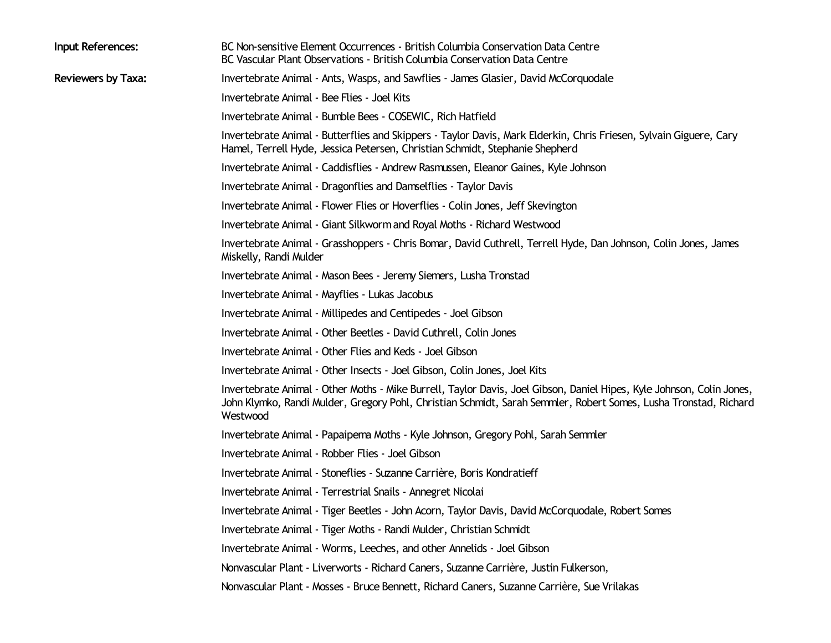| Invertebrate Animal - Ants, Wasps, and Sawflies - James Glasier, David McCorquodale<br><b>Reviewers by Taxa:</b><br>Invertebrate Animal - Bee Flies - Joel Kits<br>Invertebrate Animal - Bumble Bees - COSEWIC, Rich Hatfield<br>Invertebrate Animal - Butterflies and Skippers - Taylor Davis, Mark Elderkin, Chris Friesen, Sylvain Giguere, Cary<br>Hamel, Terrell Hyde, Jessica Petersen, Christian Schmidt, Stephanie Shepherd<br>Invertebrate Animal - Caddisflies - Andrew Rasmussen, Eleanor Gaines, Kyle Johnson<br>Invertebrate Animal - Dragonflies and Damselflies - Taylor Davis<br>Invertebrate Animal - Flower Flies or Hoverflies - Colin Jones, Jeff Skevington<br>Invertebrate Animal - Giant Silkworm and Royal Moths - Richard Westwood<br>Invertebrate Animal - Grasshoppers - Chris Bomar, David Cuthrell, Terrell Hyde, Dan Johnson, Colin Jones, James<br>Miskelly, Randi Mulder<br>Invertebrate Animal - Mason Bees - Jeremy Siemers, Lusha Tronstad<br>Invertebrate Animal - Mayflies - Lukas Jacobus<br>Invertebrate Animal - Millipedes and Centipedes - Joel Gibson<br>Invertebrate Animal - Other Beetles - David Cuthrell, Colin Jones |  |
|-----------------------------------------------------------------------------------------------------------------------------------------------------------------------------------------------------------------------------------------------------------------------------------------------------------------------------------------------------------------------------------------------------------------------------------------------------------------------------------------------------------------------------------------------------------------------------------------------------------------------------------------------------------------------------------------------------------------------------------------------------------------------------------------------------------------------------------------------------------------------------------------------------------------------------------------------------------------------------------------------------------------------------------------------------------------------------------------------------------------------------------------------------------------------|--|
|                                                                                                                                                                                                                                                                                                                                                                                                                                                                                                                                                                                                                                                                                                                                                                                                                                                                                                                                                                                                                                                                                                                                                                       |  |
|                                                                                                                                                                                                                                                                                                                                                                                                                                                                                                                                                                                                                                                                                                                                                                                                                                                                                                                                                                                                                                                                                                                                                                       |  |
|                                                                                                                                                                                                                                                                                                                                                                                                                                                                                                                                                                                                                                                                                                                                                                                                                                                                                                                                                                                                                                                                                                                                                                       |  |
|                                                                                                                                                                                                                                                                                                                                                                                                                                                                                                                                                                                                                                                                                                                                                                                                                                                                                                                                                                                                                                                                                                                                                                       |  |
|                                                                                                                                                                                                                                                                                                                                                                                                                                                                                                                                                                                                                                                                                                                                                                                                                                                                                                                                                                                                                                                                                                                                                                       |  |
|                                                                                                                                                                                                                                                                                                                                                                                                                                                                                                                                                                                                                                                                                                                                                                                                                                                                                                                                                                                                                                                                                                                                                                       |  |
|                                                                                                                                                                                                                                                                                                                                                                                                                                                                                                                                                                                                                                                                                                                                                                                                                                                                                                                                                                                                                                                                                                                                                                       |  |
|                                                                                                                                                                                                                                                                                                                                                                                                                                                                                                                                                                                                                                                                                                                                                                                                                                                                                                                                                                                                                                                                                                                                                                       |  |
|                                                                                                                                                                                                                                                                                                                                                                                                                                                                                                                                                                                                                                                                                                                                                                                                                                                                                                                                                                                                                                                                                                                                                                       |  |
|                                                                                                                                                                                                                                                                                                                                                                                                                                                                                                                                                                                                                                                                                                                                                                                                                                                                                                                                                                                                                                                                                                                                                                       |  |
|                                                                                                                                                                                                                                                                                                                                                                                                                                                                                                                                                                                                                                                                                                                                                                                                                                                                                                                                                                                                                                                                                                                                                                       |  |
|                                                                                                                                                                                                                                                                                                                                                                                                                                                                                                                                                                                                                                                                                                                                                                                                                                                                                                                                                                                                                                                                                                                                                                       |  |
|                                                                                                                                                                                                                                                                                                                                                                                                                                                                                                                                                                                                                                                                                                                                                                                                                                                                                                                                                                                                                                                                                                                                                                       |  |
| Invertebrate Animal - Other Flies and Keds - Joel Gibson                                                                                                                                                                                                                                                                                                                                                                                                                                                                                                                                                                                                                                                                                                                                                                                                                                                                                                                                                                                                                                                                                                              |  |
| Invertebrate Animal - Other Insects - Joel Gibson, Colin Jones, Joel Kits                                                                                                                                                                                                                                                                                                                                                                                                                                                                                                                                                                                                                                                                                                                                                                                                                                                                                                                                                                                                                                                                                             |  |
| Invertebrate Animal - Other Moths - Mike Burrell, Taylor Davis, Joel Gibson, Daniel Hipes, Kyle Johnson, Colin Jones,<br>John Klymko, Randi Mulder, Gregory Pohl, Christian Schmidt, Sarah Semmler, Robert Somes, Lusha Tronstad, Richard<br>Westwood                                                                                                                                                                                                                                                                                                                                                                                                                                                                                                                                                                                                                                                                                                                                                                                                                                                                                                                 |  |
| Invertebrate Animal - Papaipema Moths - Kyle Johnson, Gregory Pohl, Sarah Semmler                                                                                                                                                                                                                                                                                                                                                                                                                                                                                                                                                                                                                                                                                                                                                                                                                                                                                                                                                                                                                                                                                     |  |
| Invertebrate Animal - Robber Flies - Joel Gibson                                                                                                                                                                                                                                                                                                                                                                                                                                                                                                                                                                                                                                                                                                                                                                                                                                                                                                                                                                                                                                                                                                                      |  |
| Invertebrate Animal - Stoneflies - Suzanne Carrière, Boris Kondratieff                                                                                                                                                                                                                                                                                                                                                                                                                                                                                                                                                                                                                                                                                                                                                                                                                                                                                                                                                                                                                                                                                                |  |
| Invertebrate Animal - Terrestrial Snails - Annegret Nicolai                                                                                                                                                                                                                                                                                                                                                                                                                                                                                                                                                                                                                                                                                                                                                                                                                                                                                                                                                                                                                                                                                                           |  |
| Invertebrate Animal - Tiger Beetles - John Acorn, Taylor Davis, David McCorquodale, Robert Somes                                                                                                                                                                                                                                                                                                                                                                                                                                                                                                                                                                                                                                                                                                                                                                                                                                                                                                                                                                                                                                                                      |  |
| Invertebrate Animal - Tiger Moths - Randi Mulder, Christian Schmidt                                                                                                                                                                                                                                                                                                                                                                                                                                                                                                                                                                                                                                                                                                                                                                                                                                                                                                                                                                                                                                                                                                   |  |
| Invertebrate Animal - Worms, Leeches, and other Annelids - Joel Gibson                                                                                                                                                                                                                                                                                                                                                                                                                                                                                                                                                                                                                                                                                                                                                                                                                                                                                                                                                                                                                                                                                                |  |
| Nonvascular Plant - Liverworts - Richard Caners, Suzanne Carrière, Justin Fulkerson,                                                                                                                                                                                                                                                                                                                                                                                                                                                                                                                                                                                                                                                                                                                                                                                                                                                                                                                                                                                                                                                                                  |  |
| Nonvascular Plant - Mosses - Bruce Bennett, Richard Caners, Suzanne Carrière, Sue Vrilakas                                                                                                                                                                                                                                                                                                                                                                                                                                                                                                                                                                                                                                                                                                                                                                                                                                                                                                                                                                                                                                                                            |  |